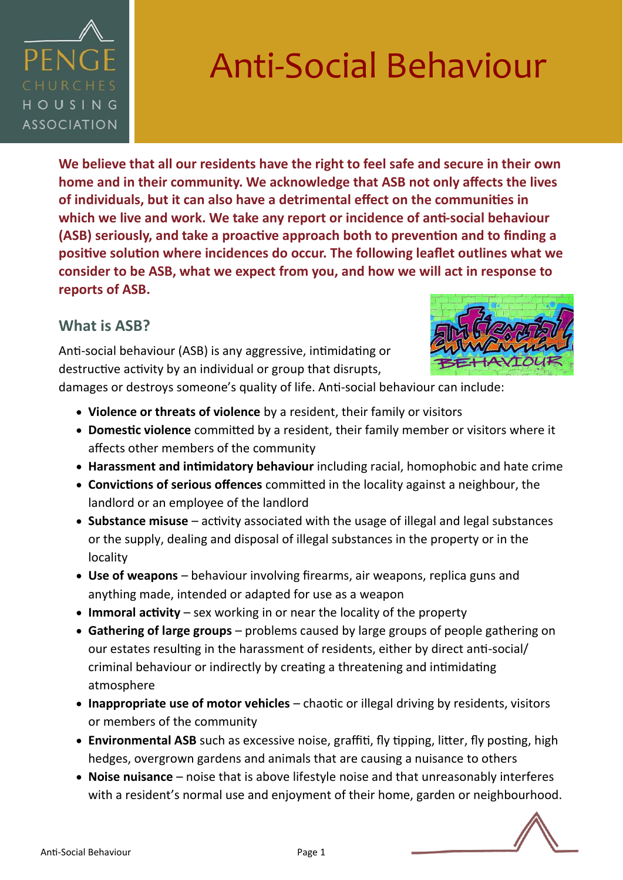

**We believe that all our residents have the right to feel safe and secure in their own home and in their community. We acknowledge that ASB not only affects the lives of individuals, but it can also have a detrimental effect on the communities in which we live and work. We take any report or incidence of anti-social behaviour (ASB) seriously, and take a proactive approach both to prevention and to finding a positive solution where incidences do occur. The following leaflet outlines what we consider to be ASB, what we expect from you, and how we will act in response to reports of ASB.** 

#### **What is ASB?**

Anti-social behaviour (ASB) is any aggressive, intimidating or destructive activity by an individual or group that disrupts,



damages or destroys someone's quality of life. Anti-social behaviour can include:

- **Violence or threats of violence** by a resident, their family or visitors
- **Domestic violence** committed by a resident, their family member or visitors where it affects other members of the community
- **Harassment and intimidatory behaviour** including racial, homophobic and hate crime
- **Convictions of serious offences** committed in the locality against a neighbour, the landlord or an employee of the landlord
- **Substance misuse**  activity associated with the usage of illegal and legal substances or the supply, dealing and disposal of illegal substances in the property or in the locality
- **Use of weapons**  behaviour involving firearms, air weapons, replica guns and anything made, intended or adapted for use as a weapon
- **Immoral activity** sex working in or near the locality of the property
- **Gathering of large groups**  problems caused by large groups of people gathering on our estates resulting in the harassment of residents, either by direct anti-social/ criminal behaviour or indirectly by creating a threatening and intimidating atmosphere
- **Inappropriate use of motor vehicles** chaotic or illegal driving by residents, visitors or members of the community
- **Environmental ASB** such as excessive noise, graffiti, fly tipping, litter, fly posting, high hedges, overgrown gardens and animals that are causing a nuisance to others
- **Noise nuisance**  noise that is above lifestyle noise and that unreasonably interferes with a resident's normal use and enjoyment of their home, garden or neighbourhood.

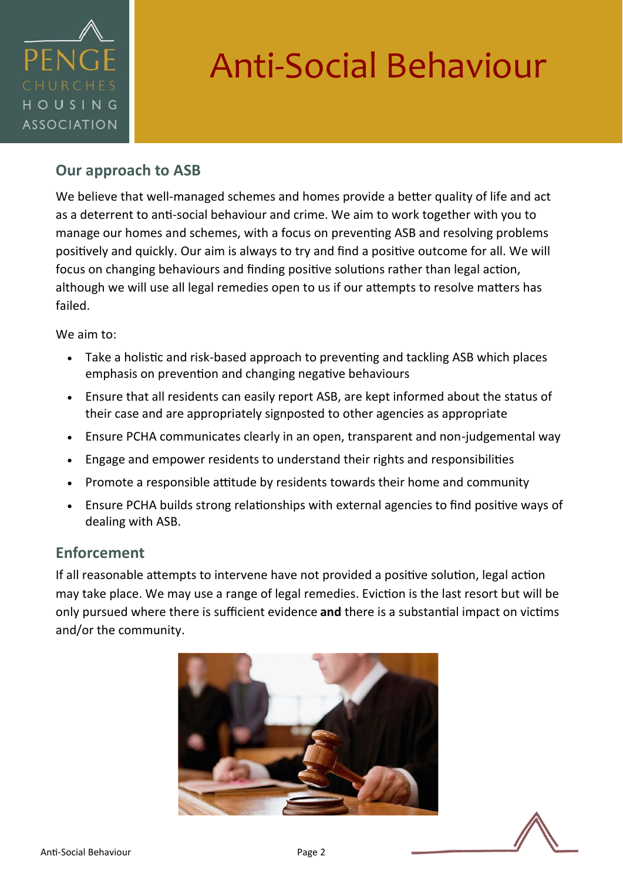

### **Our approach to ASB**

We believe that well-managed schemes and homes provide a better quality of life and act as a deterrent to anti-social behaviour and crime. We aim to work together with you to manage our homes and schemes, with a focus on preventing ASB and resolving problems positively and quickly. Our aim is always to try and find a positive outcome for all. We will focus on changing behaviours and finding positive solutions rather than legal action, although we will use all legal remedies open to us if our attempts to resolve matters has failed.

We aim to:

- Take a holistic and risk-based approach to preventing and tackling ASB which places emphasis on prevention and changing negative behaviours
- Ensure that all residents can easily report ASB, are kept informed about the status of their case and are appropriately signposted to other agencies as appropriate
- Ensure PCHA communicates clearly in an open, transparent and non-judgemental way
- Engage and empower residents to understand their rights and responsibilities
- Promote a responsible attitude by residents towards their home and community
- Ensure PCHA builds strong relationships with external agencies to find positive ways of dealing with ASB.

#### **Enforcement**

If all reasonable attempts to intervene have not provided a positive solution, legal action may take place. We may use a range of legal remedies. Eviction is the last resort but will be only pursued where there is sufficient evidence **and** there is a substantial impact on victims and/or the community.



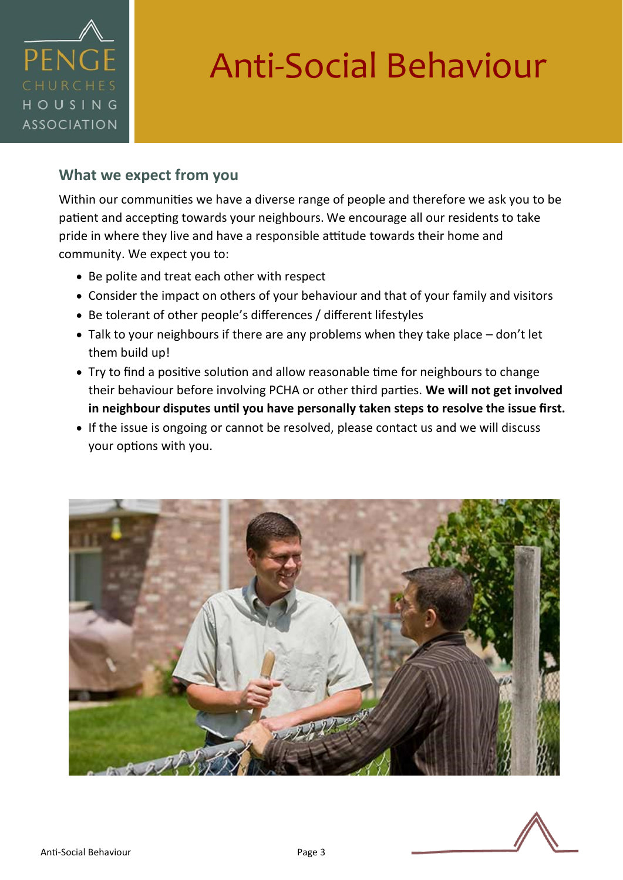

#### **What we expect from you**

Within our communities we have a diverse range of people and therefore we ask you to be patient and accepting towards your neighbours. We encourage all our residents to take pride in where they live and have a responsible attitude towards their home and community. We expect you to:

- Be polite and treat each other with respect
- Consider the impact on others of your behaviour and that of your family and visitors
- Be tolerant of other people's differences / different lifestyles
- Talk to your neighbours if there are any problems when they take place don't let them build up!
- Try to find a positive solution and allow reasonable time for neighbours to change their behaviour before involving PCHA or other third parties. **We will not get involved in neighbour disputes until you have personally taken steps to resolve the issue first.**
- If the issue is ongoing or cannot be resolved, please contact us and we will discuss your options with you.